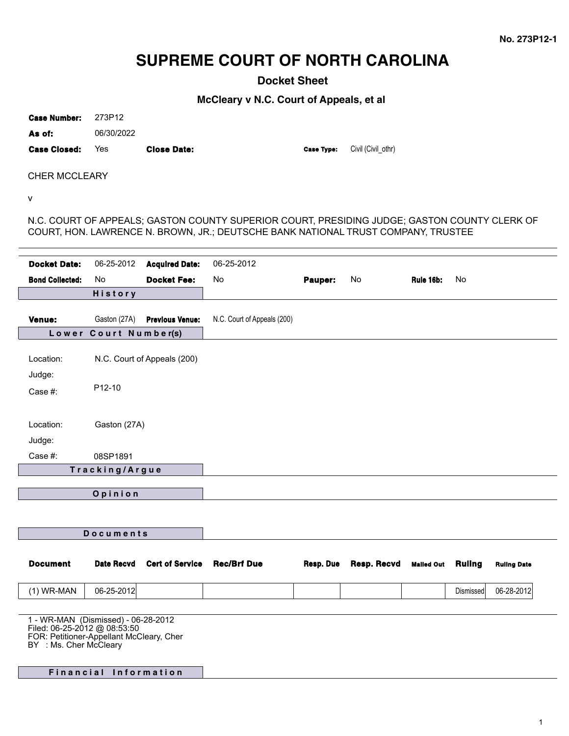# **SUPREME COURT OF NORTH CAROLINA**

**Docket Sheet**

**McCleary v N.C. Court of Appeals, et al**

**Case Number:** 273P12

**As of:** 06/30/2022

**Case Closed: Yes <b>Close Date: Close Type: Civil** (Civil\_othr)

CHER MCCLEARY

v

N.C. COURT OF APPEALS; GASTON COUNTY SUPERIOR COURT, PRESIDING JUDGE; GASTON COUNTY CLERK OF COURT, HON. LAWRENCE N. BROWN, JR.; DEUTSCHE BANK NATIONAL TRUST COMPANY, TRUSTEE

| <b>Docket Date:</b>                                                                                                                       | 06-25-2012                            | <b>Acquired Date:</b>       | 06-25-2012                  |           |             |                   |               |                    |
|-------------------------------------------------------------------------------------------------------------------------------------------|---------------------------------------|-----------------------------|-----------------------------|-----------|-------------|-------------------|---------------|--------------------|
| <b>Bond Collected:</b>                                                                                                                    | No                                    | <b>Docket Fee:</b>          | No                          | Pauper:   | No          | Rule 16b:         | No.           |                    |
|                                                                                                                                           | History                               |                             |                             |           |             |                   |               |                    |
|                                                                                                                                           |                                       |                             |                             |           |             |                   |               |                    |
| Venue:                                                                                                                                    | Gaston (27A)<br>Lower Court Number(s) | <b>Previous Venue:</b>      | N.C. Court of Appeals (200) |           |             |                   |               |                    |
|                                                                                                                                           |                                       |                             |                             |           |             |                   |               |                    |
| Location:                                                                                                                                 |                                       | N.C. Court of Appeals (200) |                             |           |             |                   |               |                    |
| Judge:                                                                                                                                    |                                       |                             |                             |           |             |                   |               |                    |
| Case #:                                                                                                                                   | P12-10                                |                             |                             |           |             |                   |               |                    |
|                                                                                                                                           |                                       |                             |                             |           |             |                   |               |                    |
| Location:                                                                                                                                 | Gaston (27A)                          |                             |                             |           |             |                   |               |                    |
| Judge:                                                                                                                                    |                                       |                             |                             |           |             |                   |               |                    |
| Case #:                                                                                                                                   | 08SP1891                              |                             |                             |           |             |                   |               |                    |
|                                                                                                                                           | Tracking/Argue                        |                             |                             |           |             |                   |               |                    |
|                                                                                                                                           |                                       |                             |                             |           |             |                   |               |                    |
| Opinion                                                                                                                                   |                                       |                             |                             |           |             |                   |               |                    |
|                                                                                                                                           |                                       |                             |                             |           |             |                   |               |                    |
|                                                                                                                                           |                                       |                             |                             |           |             |                   |               |                    |
|                                                                                                                                           | Documents                             |                             |                             |           |             |                   |               |                    |
|                                                                                                                                           |                                       |                             |                             |           |             |                   |               |                    |
| <b>Document</b>                                                                                                                           | <b>Date Recvd</b>                     | <b>Cert of Service</b>      | <b>Rec/Brf Due</b>          | Resp. Due | Resp. Recvd | <b>Mailed Out</b> | <b>Ruling</b> | <b>Ruling Date</b> |
| $(1)$ WR-MAN                                                                                                                              | 06-25-2012                            |                             |                             |           |             |                   | Dismissed     | 06-28-2012         |
|                                                                                                                                           |                                       |                             |                             |           |             |                   |               |                    |
| 1 - WR-MAN (Dismissed) - 06-28-2012<br>Filed: 06-25-2012 @ 08:53:50<br>FOR: Petitioner-Appellant McCleary, Cher<br>BY : Ms. Cher McCleary |                                       |                             |                             |           |             |                   |               |                    |
|                                                                                                                                           | Financial Information                 |                             |                             |           |             |                   |               |                    |